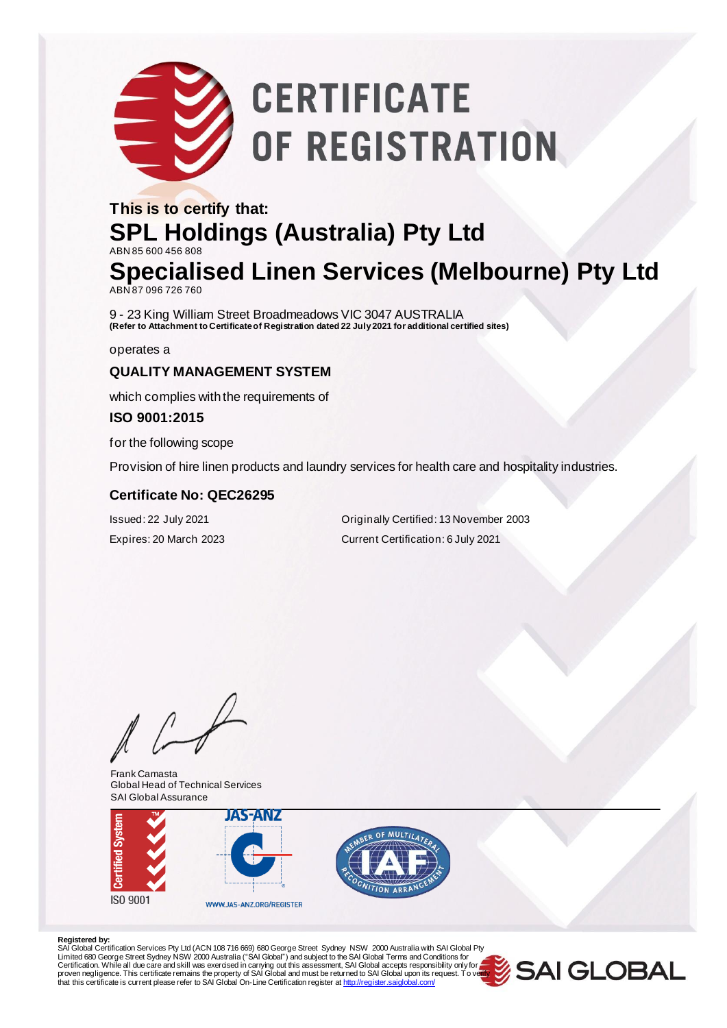# **CERTIFICATE** OF REGISTRATION

### **This is to certify that: SPL Holdings (Australia) Pty Ltd** ABN 85 600 456 808 **Specialised Linen Services (Melbourne) Pty Ltd**

ABN 87 096 726 760

9 - 23 King William Street Broadmeadows VIC 3047 AUSTRALIA **(Refer to Attachment to Certificate of Registration dated 22 July 2021 for additional certified sites)**

operates a

### **QUALITY MANAGEMENT SYSTEM**

which complies with the requirements of

#### **ISO 9001:2015**

for the following scope

Provision of hire linen products and laundry services for health care and hospitality industries.

#### **Certificate No: QEC26295**

Issued: 22 July 2021 Originally Certified: 13 November 2003 Expires: 20 March 2023 Current Certification: 6 July 2021

 $\sqrt{ }$ 

Frank Camasta Global Head of Technical Services SAI Global Assurance





#### **Registered by:**

SAl Global Certification Services Pty Ltd (ACN 108 716 669) 680 George Street Sydney NSW 2000 Australia with SAI Global Pty<br>Limited 680 George Street Sydney NSW 2000 Australia ("SAI Global") and subject to the SAI Global T Certification. While all due care and skill was exercised in carrying out this assessment, SAI Global accepts responsibility only for a second of the process of the process of process of process of process of process of pr that this certificate is current please refer to SAI Global On-Line Certification register [at http://register.saiglobal.com/](http://register.saiglobal.com/)

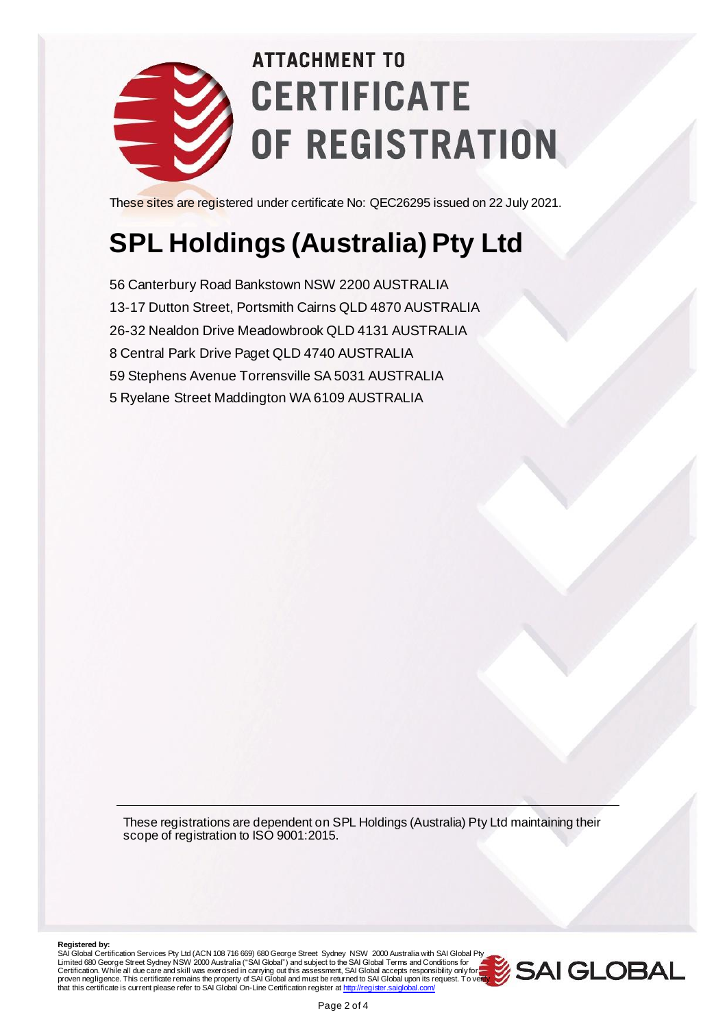

## **ATTACHMENT TO CERTIFICATE** OF REGISTRATION

These sites are registered under certificate No: QEC26295 issued on 22 July 2021.

### **SPL Holdings (Australia) Pty Ltd**

56 Canterbury Road Bankstown NSW 2200 AUSTRALIA 13-17 Dutton Street, Portsmith Cairns QLD 4870 AUSTRALIA 26-32 Nealdon Drive Meadowbrook QLD 4131 AUSTRALIA 8 Central Park Drive Paget QLD 4740 AUSTRALIA 59 Stephens Avenue Torrensville SA 5031 AUSTRALIA 5 Ryelane Street Maddington WA 6109 AUSTRALIA

These registrations are dependent on SPL Holdings (Australia) Pty Ltd maintaining their scope of registration to ISO 9001:2015.

**Registered by:**<br>SAI Global Certification Services Pty Ltd (ACN 108 716 669) 680 George Street Sydney NSW 2000 Australia with SAI Global Pty Limited 680 George Street Sydney NSW 2000 Australia ("SAI Global") and subject to the SAI Global Terms and Conditions for<br>Certification. While all due care and skill was exercised in carrying out this assessment, SAI Globa proven negligence. This certificate remains the property of SAI Global and must be returned to SAI Global upon its request. To veil<mark>ly</mark><br>that this certificate is current please refer to SAI Global On-Line Certification regi

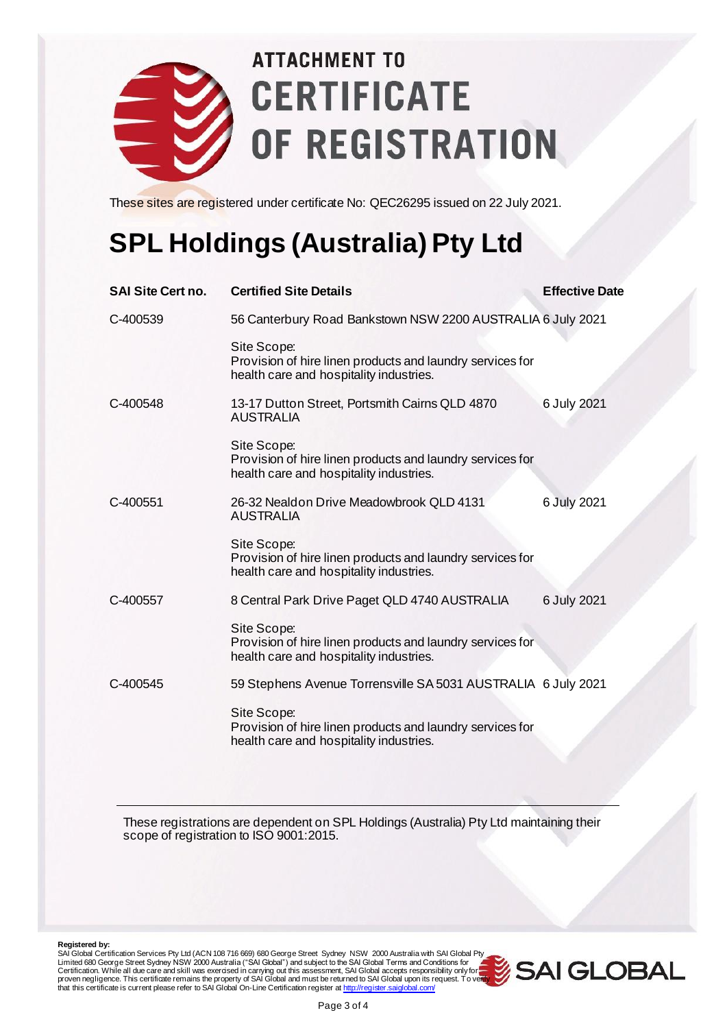

## **ATTACHMENT TO CERTIFICATE** OF REGISTRATION

These sites are registered under certificate No: QEC26295 issued on 22 July 2021.

### **SPL Holdings (Australia) Pty Ltd**

| <b>SAI Site Cert no.</b> | <b>Certified Site Details</b>                                                                                       | <b>Effective Date</b> |  |
|--------------------------|---------------------------------------------------------------------------------------------------------------------|-----------------------|--|
| C-400539                 | 56 Canterbury Road Bankstown NSW 2200 AUSTRALIA 6 July 2021                                                         |                       |  |
|                          | Site Scope:<br>Provision of hire linen products and laundry services for<br>health care and hospitality industries. |                       |  |
| C-400548                 | 13-17 Dutton Street, Portsmith Cairns QLD 4870<br><b>AUSTRALIA</b>                                                  | 6 July 2021           |  |
|                          | Site Scope:<br>Provision of hire linen products and laundry services for<br>health care and hospitality industries. |                       |  |
| C-400551                 | 26-32 Nealdon Drive Meadowbrook QLD 4131<br><b>AUSTRALIA</b>                                                        | 6 July 2021           |  |
|                          | Site Scope:<br>Provision of hire linen products and laundry services for<br>health care and hospitality industries. |                       |  |
| C-400557                 | 8 Central Park Drive Paget QLD 4740 AUSTRALIA                                                                       | 6 July 2021           |  |
|                          | Site Scope:<br>Provision of hire linen products and laundry services for<br>health care and hospitality industries. |                       |  |
| C-400545                 | 59 Stephens Avenue Torrensville SA 5031 AUSTRALIA 6 July 2021                                                       |                       |  |
|                          | Site Scope:<br>Provision of hire linen products and laundry services for<br>health care and hospitality industries. |                       |  |

These registrations are dependent on SPL Holdings (Australia) Pty Ltd maintaining their scope of registration to ISO 9001:2015.

**Registered by:**<br>SAI Global Certification Services Pty Ltd (ACN 108 716 669) 680 George Street Sydney NSW 2000 Australia with SAI Global Pty Limited 680 George Street Sydney NSW 2000 Australia ("SAI Global") and subject to the SAI Global Terms and Conditions for<br>Certification. While all due care and skill was exercised in carrying out this assessment, SAI Globa proven negligence. This certificate remains the property of SAI Global and must be returned to SAI Global upon its request. To veil<mark>ly</mark><br>that this certificate is current please refer to SAI Global On-Line Certification regi